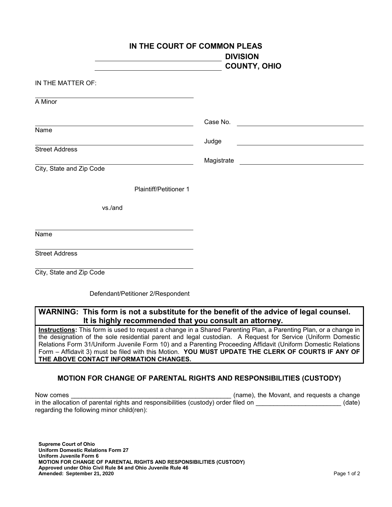| IN THE COURT OF COMMON PLEAS                                                           | <b>DIVISION</b>     |
|----------------------------------------------------------------------------------------|---------------------|
|                                                                                        | <b>COUNTY, OHIO</b> |
| IN THE MATTER OF:                                                                      |                     |
| A Minor                                                                                |                     |
|                                                                                        | Case No.            |
| Name                                                                                   | Judge               |
| <b>Street Address</b>                                                                  |                     |
| City, State and Zip Code                                                               |                     |
| <b>Plaintiff/Petitioner 1</b>                                                          |                     |
| vs./and                                                                                |                     |
| Name                                                                                   |                     |
| <b>Street Address</b>                                                                  |                     |
| City, State and Zip Code                                                               |                     |
| Defendant/Petitioner 2/Respondent                                                      |                     |
| WARNING: This form is not a substitute for the benefit of the advice of legal counsel. |                     |

**It is highly recommended that you consult an attorney.** 

**Instructions:** This form is used to request a change in a Shared Parenting Plan, a Parenting Plan, or a change in the designation of the sole residential parent and legal custodian. A Request for Service (Uniform Domestic Relations Form 31/Uniform Juvenile Form 10) and a Parenting Proceeding Affidavit (Uniform Domestic Relations Form – Affidavit 3) must be filed with this Motion. **YOU MUST UPDATE THE CLERK OF COURTS IF ANY OF THE ABOVE CONTACT INFORMATION CHANGES.**

## **MOTION FOR CHANGE OF PARENTAL RIGHTS AND RESPONSIBILITIES (CUSTODY)**

Now comes **Now comes** and the Movant, and requests a change in the allocation of parental rights and responsibilities (custody) order filed on \_\_\_\_\_\_\_\_\_\_\_\_\_\_\_\_\_\_\_\_\_\_\_\_(date) regarding the following minor child(ren):

**Supreme Court of Ohio Uniform Domestic Relations Form 27 Uniform Juvenile Form 6 MOTION FOR CHANGE OF PARENTAL RIGHTS AND RESPONSIBILITIES (CUSTODY) Approved under Ohio Civil Rule 84 and Ohio Juvenile Rule 46 Amended:** Page 1 of 2 **September 21, 2020**